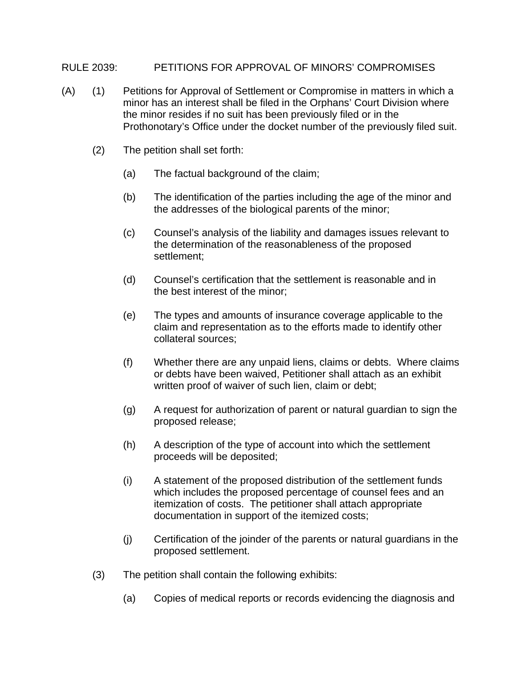## RULE 2039: PETITIONS FOR APPROVAL OF MINORS' COMPROMISES

- (A) (1) Petitions for Approval of Settlement or Compromise in matters in which a minor has an interest shall be filed in the Orphans' Court Division where the minor resides if no suit has been previously filed or in the Prothonotary's Office under the docket number of the previously filed suit.
	- (2) The petition shall set forth:
		- (a) The factual background of the claim;
		- (b) The identification of the parties including the age of the minor and the addresses of the biological parents of the minor;
		- (c) Counsel's analysis of the liability and damages issues relevant to the determination of the reasonableness of the proposed settlement;
		- (d) Counsel's certification that the settlement is reasonable and in the best interest of the minor;
		- (e) The types and amounts of insurance coverage applicable to the claim and representation as to the efforts made to identify other collateral sources;
		- (f) Whether there are any unpaid liens, claims or debts. Where claims or debts have been waived, Petitioner shall attach as an exhibit written proof of waiver of such lien, claim or debt;
		- (g) A request for authorization of parent or natural guardian to sign the proposed release;
		- (h) A description of the type of account into which the settlement proceeds will be deposited;
		- (i) A statement of the proposed distribution of the settlement funds which includes the proposed percentage of counsel fees and an itemization of costs. The petitioner shall attach appropriate documentation in support of the itemized costs;
		- (j) Certification of the joinder of the parents or natural guardians in the proposed settlement.
	- (3) The petition shall contain the following exhibits:
		- (a) Copies of medical reports or records evidencing the diagnosis and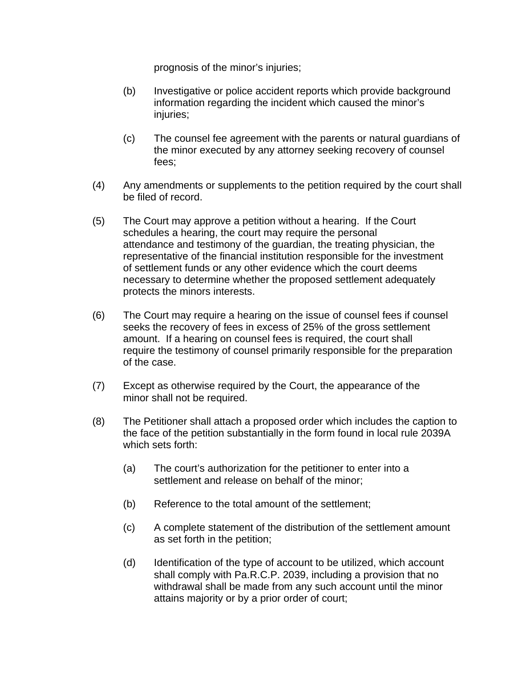prognosis of the minor's injuries;

- (b) Investigative or police accident reports which provide background information regarding the incident which caused the minor's injuries;
- (c) The counsel fee agreement with the parents or natural guardians of the minor executed by any attorney seeking recovery of counsel fees;
- (4) Any amendments or supplements to the petition required by the court shall be filed of record.
- (5) The Court may approve a petition without a hearing. If the Court schedules a hearing, the court may require the personal attendance and testimony of the guardian, the treating physician, the representative of the financial institution responsible for the investment of settlement funds or any other evidence which the court deems necessary to determine whether the proposed settlement adequately protects the minors interests.
- (6) The Court may require a hearing on the issue of counsel fees if counsel seeks the recovery of fees in excess of 25% of the gross settlement amount. If a hearing on counsel fees is required, the court shall require the testimony of counsel primarily responsible for the preparation of the case.
- (7) Except as otherwise required by the Court, the appearance of the minor shall not be required.
- (8) The Petitioner shall attach a proposed order which includes the caption to the face of the petition substantially in the form found in local rule 2039A which sets forth:
	- (a) The court's authorization for the petitioner to enter into a settlement and release on behalf of the minor;
	- (b) Reference to the total amount of the settlement;
	- (c) A complete statement of the distribution of the settlement amount as set forth in the petition;
	- (d) Identification of the type of account to be utilized, which account shall comply with Pa.R.C.P. 2039, including a provision that no withdrawal shall be made from any such account until the minor attains majority or by a prior order of court;